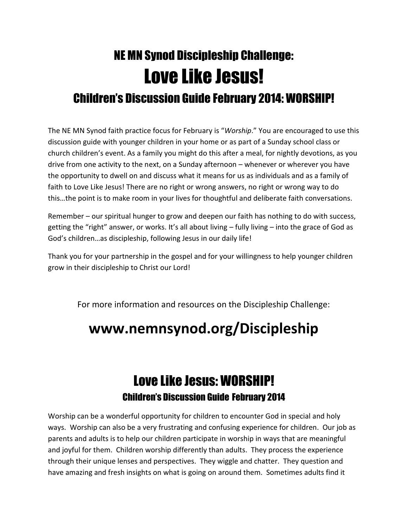## NE MN Synod Discipleship Challenge: Love Like Jesus! Children's Discussion Guide February 2014: WORSHIP!

The NE MN Synod faith practice focus for February is "*Worship*." You are encouraged to use this discussion guide with younger children in your home or as part of a Sunday school class or church children's event. As a family you might do this after a meal, for nightly devotions, as you drive from one activity to the next, on a Sunday afternoon – whenever or wherever you have the opportunity to dwell on and discuss what it means for us as individuals and as a family of faith to Love Like Jesus! There are no right or wrong answers, no right or wrong way to do this…the point is to make room in your lives for thoughtful and deliberate faith conversations.

Remember – our spiritual hunger to grow and deepen our faith has nothing to do with success, getting the "right" answer, or works. It's all about living – fully living – into the grace of God as God's children…as discipleship, following Jesus in our daily life!

Thank you for your partnership in the gospel and for your willingness to help younger children grow in their discipleship to Christ our Lord!

For more information and resources on the Discipleship Challenge:

## **www.nemnsynod.org/Discipleship**

## Love Like Jesus: WORSHIP! Children's Discussion Guide February 2014

Worship can be a wonderful opportunity for children to encounter God in special and holy ways. Worship can also be a very frustrating and confusing experience for children. Our job as parents and adults is to help our children participate in worship in ways that are meaningful and joyful for them. Children worship differently than adults. They process the experience through their unique lenses and perspectives. They wiggle and chatter. They question and have amazing and fresh insights on what is going on around them. Sometimes adults find it